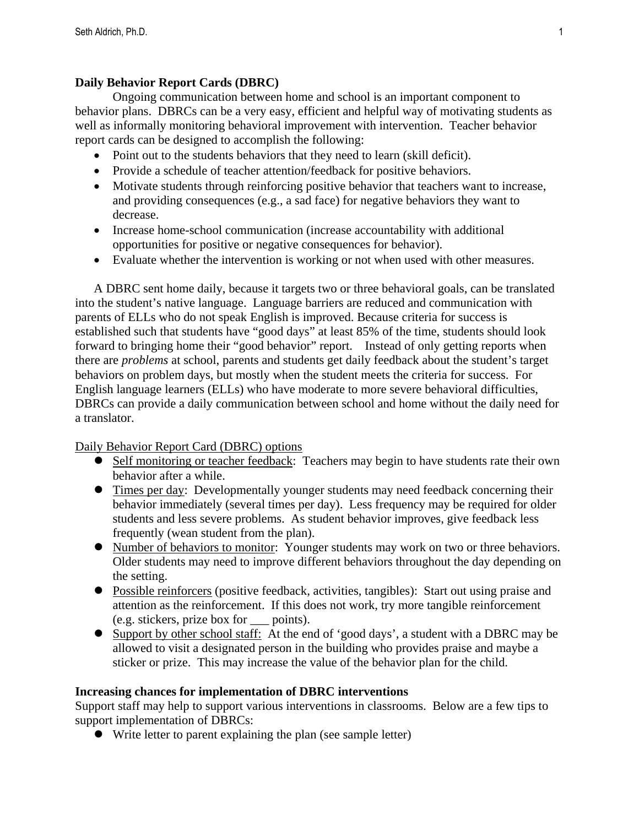## **Daily Behavior Report Cards (DBRC)**

Ongoing communication between home and school is an important component to behavior plans. DBRCs can be a very easy, efficient and helpful way of motivating students as well as informally monitoring behavioral improvement with intervention. Teacher behavior report cards can be designed to accomplish the following:

- Point out to the students behaviors that they need to learn (skill deficit).
- Provide a schedule of teacher attention/feedback for positive behaviors.
- Motivate students through reinforcing positive behavior that teachers want to increase, and providing consequences (e.g., a sad face) for negative behaviors they want to decrease.
- Increase home-school communication (increase accountability with additional opportunities for positive or negative consequences for behavior).
- Evaluate whether the intervention is working or not when used with other measures.

A DBRC sent home daily, because it targets two or three behavioral goals, can be translated into the student's native language. Language barriers are reduced and communication with parents of ELLs who do not speak English is improved. Because criteria for success is established such that students have "good days" at least 85% of the time, students should look forward to bringing home their "good behavior" report. Instead of only getting reports when there are *problems* at school, parents and students get daily feedback about the student's target behaviors on problem days, but mostly when the student meets the criteria for success. For English language learners (ELLs) who have moderate to more severe behavioral difficulties, DBRCs can provide a daily communication between school and home without the daily need for a translator.

Daily Behavior Report Card (DBRC) options

- Self monitoring or teacher feedback: Teachers may begin to have students rate their own behavior after a while.
- **•** Times per day: Developmentally younger students may need feedback concerning their behavior immediately (several times per day). Less frequency may be required for older students and less severe problems. As student behavior improves, give feedback less frequently (wean student from the plan).
- Number of behaviors to monitor: Younger students may work on two or three behaviors. Older students may need to improve different behaviors throughout the day depending on the setting.
- Possible reinforcers (positive feedback, activities, tangibles): Start out using praise and attention as the reinforcement. If this does not work, try more tangible reinforcement (e.g. stickers, prize box for \_\_\_ points).
- Support by other school staff: At the end of 'good days', a student with a DBRC may be allowed to visit a designated person in the building who provides praise and maybe a sticker or prize. This may increase the value of the behavior plan for the child.

## **Increasing chances for implementation of DBRC interventions**

Support staff may help to support various interventions in classrooms. Below are a few tips to support implementation of DBRCs:

Write letter to parent explaining the plan (see sample letter)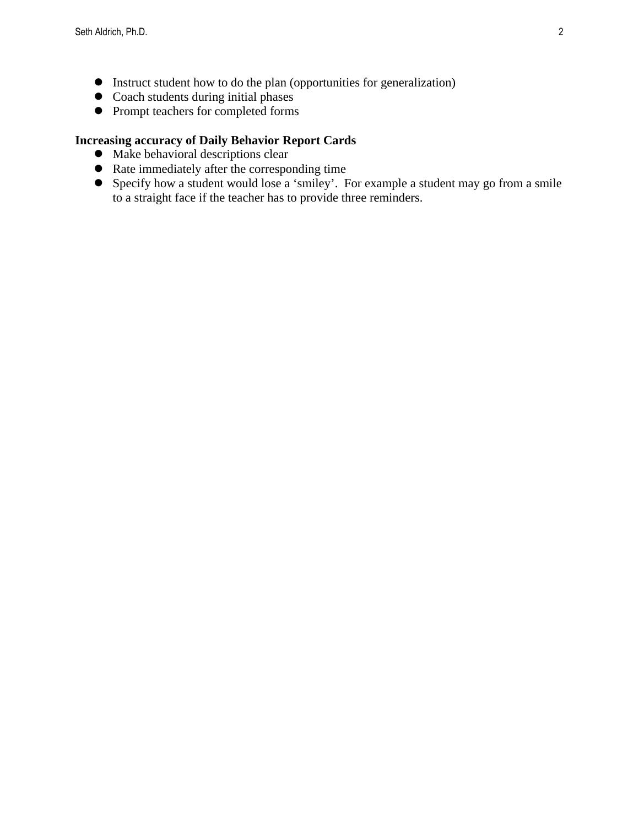- Instruct student how to do the plan (opportunities for generalization)
- $\bullet$  Coach students during initial phases
- $\bullet$  Prompt teachers for completed forms

# **Increasing accuracy of Daily Behavior Report Cards**

- $\bullet$  Make behavioral descriptions clear
- Rate immediately after the corresponding time
- Specify how a student would lose a 'smiley'. For example a student may go from a smile to a straight face if the teacher has to provide three reminders.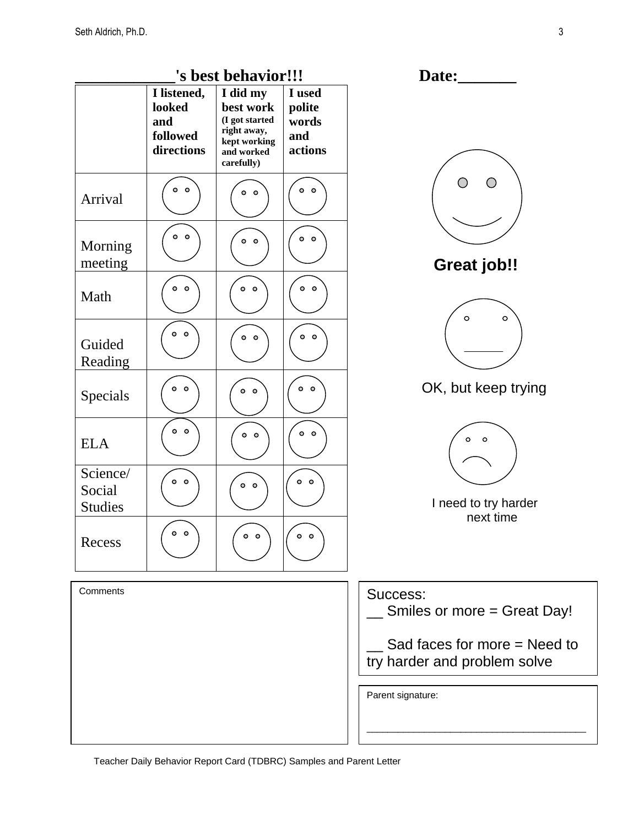|                                      |                                                        | 's best behavior!!!                                                                                |                                             | Date:                                                          |  |
|--------------------------------------|--------------------------------------------------------|----------------------------------------------------------------------------------------------------|---------------------------------------------|----------------------------------------------------------------|--|
|                                      | I listened,<br>looked<br>and<br>followed<br>directions | I did my<br>best work<br>(I got started<br>right away,<br>kept working<br>and worked<br>carefully) | I used<br>polite<br>words<br>and<br>actions |                                                                |  |
| Arrival                              | $\circ$ $\circ$                                        | $\circ$ $\circ$                                                                                    | $\bullet$ $\bullet$                         |                                                                |  |
| Morning<br>meeting                   | $\circ$ $\circ$                                        | $\circ$ $\circ$                                                                                    | $\circ$ $\circ$                             | <b>Great job!!</b>                                             |  |
| Math                                 | $\circ$ $\circ$                                        | 0 <sub>0</sub>                                                                                     | $\circ$ $\circ$                             | $\circ$<br>O                                                   |  |
| Guided<br>Reading                    | $\circ$ $\circ$                                        | $\circ$ $\circ$                                                                                    | $\circ$ $\circ$                             |                                                                |  |
| Specials                             | 0 <sup>o</sup>                                         | $\bullet\hspace{1mm} \bullet$                                                                      | $\circ$ $\circ$                             | OK, but keep trying                                            |  |
| <b>ELA</b>                           | $\circ$ $\circ$                                        | $\circ$ $\circ$                                                                                    | $\circ$ $\circ$                             | $\circ$<br>$\circ$                                             |  |
| Science/<br>Social<br><b>Studies</b> | $\circ$ $\circ$                                        | $0$ 0                                                                                              | $\circ$ $\circ$                             | I need to try harder<br>next time                              |  |
| Recess                               | $\circ$ $\circ$                                        | $\circ$ $\circ$                                                                                    | $0$ 0                                       |                                                                |  |
| Comments                             |                                                        |                                                                                                    |                                             | Success:<br>Smiles or more = Great Day!                        |  |
|                                      |                                                        |                                                                                                    |                                             | Sad faces for more $=$ Need to<br>try harder and problem solve |  |
|                                      |                                                        |                                                                                                    |                                             | Parent signature:                                              |  |
|                                      |                                                        |                                                                                                    |                                             |                                                                |  |

Teacher Daily Behavior Report Card (TDBRC) Samples and Parent Letter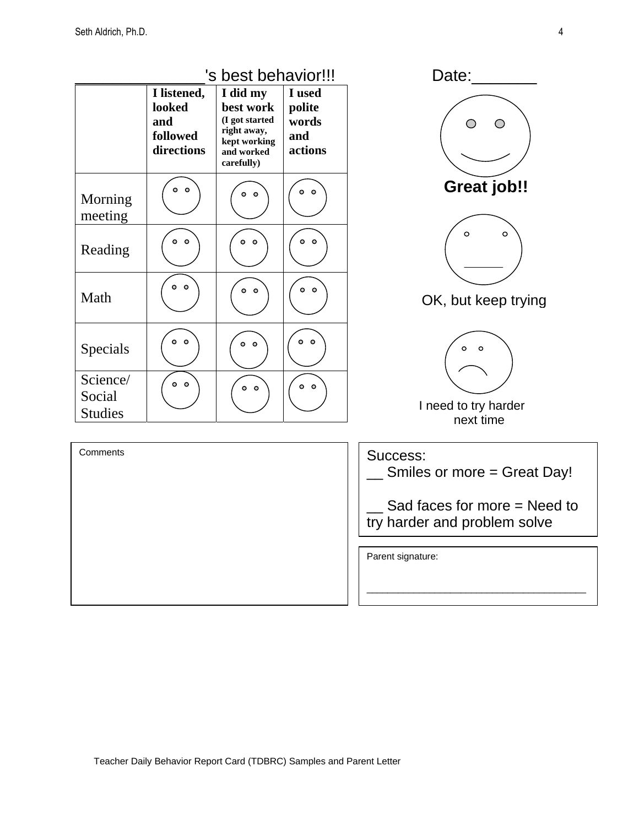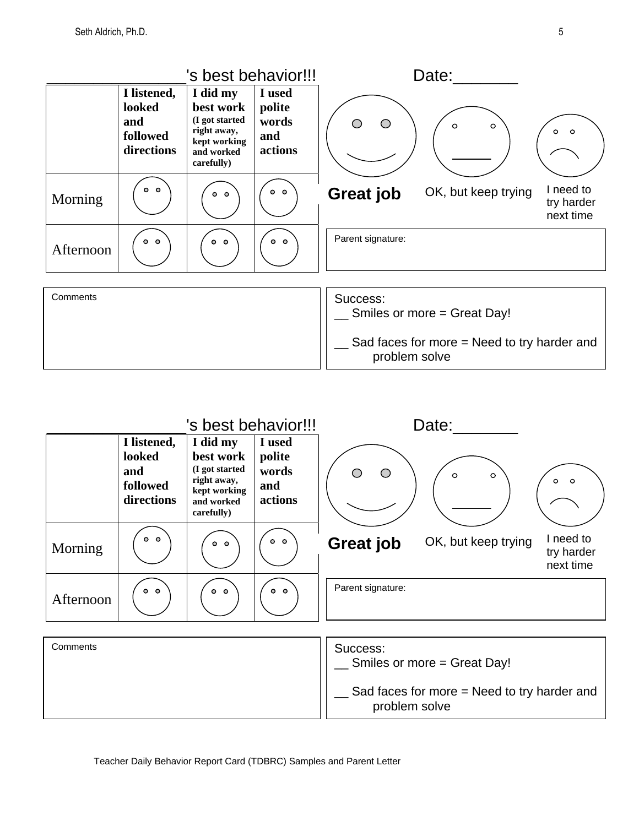

|           | 's best behavior!!!                                    |                                                                                                    |                                             | Date:             |                     |                                      |
|-----------|--------------------------------------------------------|----------------------------------------------------------------------------------------------------|---------------------------------------------|-------------------|---------------------|--------------------------------------|
|           | I listened,<br>looked<br>and<br>followed<br>directions | I did my<br>best work<br>(I got started<br>right away,<br>kept working<br>and worked<br>carefully) | I used<br>polite<br>words<br>and<br>actions | ∩<br>⌒            | $\circ$<br>$\circ$  | $0$ 0                                |
| Morning   | 0 <sup>o</sup>                                         | 0 <sub>o</sub>                                                                                     | 0 <sub>o</sub>                              | <b>Great job</b>  | OK, but keep trying | I need to<br>try harder<br>next time |
| Afternoon | 0 <sub>o</sub>                                         | 0 <sub>o</sub>                                                                                     | 0 <sub>o</sub>                              | Parent signature: |                     |                                      |
|           |                                                        |                                                                                                    |                                             |                   |                     |                                      |
| $O = 1$   |                                                        |                                                                                                    |                                             | $\sim$            |                     |                                      |

| Comments | Success:<br>Smiles or more = Great Day!                        |
|----------|----------------------------------------------------------------|
|          | Sad faces for more $=$ Need to try harder and<br>problem solve |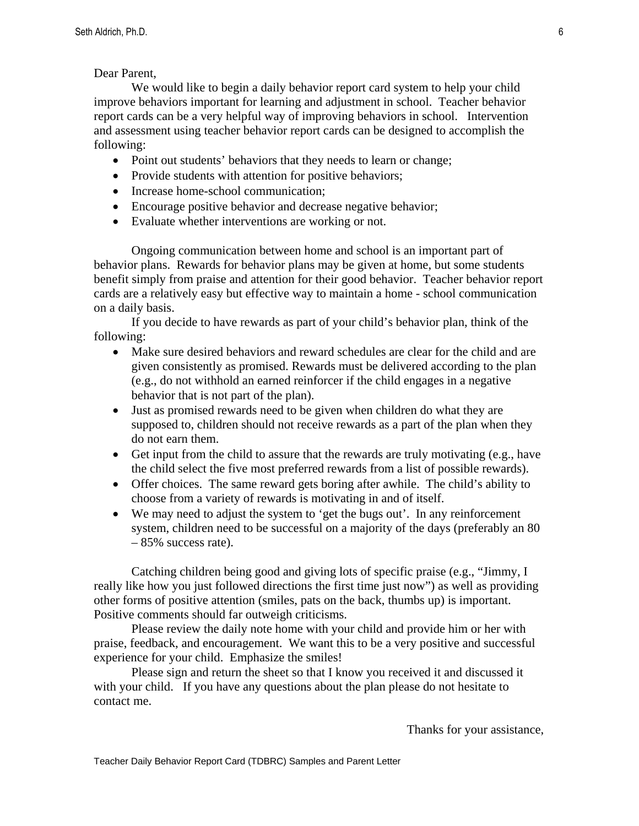Dear Parent,

 We would like to begin a daily behavior report card system to help your child improve behaviors important for learning and adjustment in school. Teacher behavior report cards can be a very helpful way of improving behaviors in school. Intervention and assessment using teacher behavior report cards can be designed to accomplish the following:

- Point out students' behaviors that they needs to learn or change;
- Provide students with attention for positive behaviors;
- Increase home-school communication;
- Encourage positive behavior and decrease negative behavior;
- Evaluate whether interventions are working or not.

 Ongoing communication between home and school is an important part of behavior plans. Rewards for behavior plans may be given at home, but some students benefit simply from praise and attention for their good behavior. Teacher behavior report cards are a relatively easy but effective way to maintain a home - school communication on a daily basis.

 If you decide to have rewards as part of your child's behavior plan, think of the following:

- Make sure desired behaviors and reward schedules are clear for the child and are given consistently as promised. Rewards must be delivered according to the plan (e.g., do not withhold an earned reinforcer if the child engages in a negative behavior that is not part of the plan).
- Just as promised rewards need to be given when children do what they are supposed to, children should not receive rewards as a part of the plan when they do not earn them.
- Get input from the child to assure that the rewards are truly motivating (e.g., have the child select the five most preferred rewards from a list of possible rewards).
- Offer choices. The same reward gets boring after awhile. The child's ability to choose from a variety of rewards is motivating in and of itself.
- We may need to adjust the system to 'get the bugs out'. In any reinforcement system, children need to be successful on a majority of the days (preferably an 80 – 85% success rate).

 Catching children being good and giving lots of specific praise (e.g., "Jimmy, I really like how you just followed directions the first time just now") as well as providing other forms of positive attention (smiles, pats on the back, thumbs up) is important. Positive comments should far outweigh criticisms.

 Please review the daily note home with your child and provide him or her with praise, feedback, and encouragement. We want this to be a very positive and successful experience for your child. Emphasize the smiles!

 Please sign and return the sheet so that I know you received it and discussed it with your child. If you have any questions about the plan please do not hesitate to contact me.

Thanks for your assistance,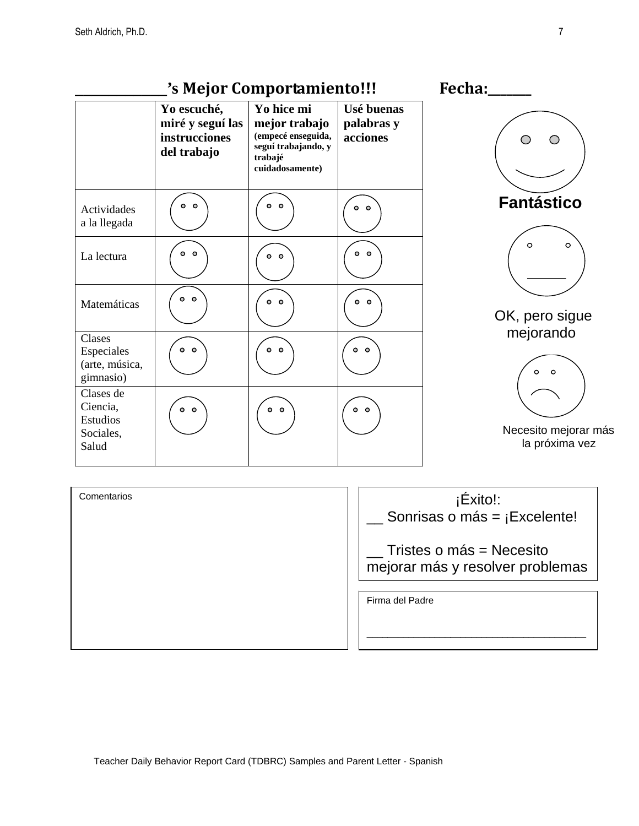**\_\_\_\_\_\_\_\_\_\_\_'s Mejor Comportamiento!!! Fecha:\_\_\_\_\_\_\_ Yo escuché, Yo hice mi Usé buenas miré y seguí las palabras y mejor trabajo instrucciones (empecé enseguida, acciones**   $\bigcirc$  $\bigcirc$ **seguí trabajando, y del trabajo trabajé cuidadosamente) Fantástico**   $\circ$   $\circ$  $\circ$   $\circ$  $0<sub>o</sub>$ Actividades a la llegada  $\circ$  $0<sub>0</sub>$  $\circ$   $\circ$ La lectura  $0<sub>o</sub>$  $\circ$   $\circ$  $\circ$   $\circ$  $\circ$   $\circ$ Matemáticas OK, pero sigue mejorando Clases  $0<sub>0</sub>$  $\circ$   $\circ$  $\circ$   $\circ$ Especiales (arte, música,  $\circ$ gimnasio) Clases de Ciencia,  $\circ$   $\circ$  $\circ$   $\circ$  $\circ$   $\circ$ Estudios Necesito mejorar más Sociales, la próxima vez Salud



 $\circ$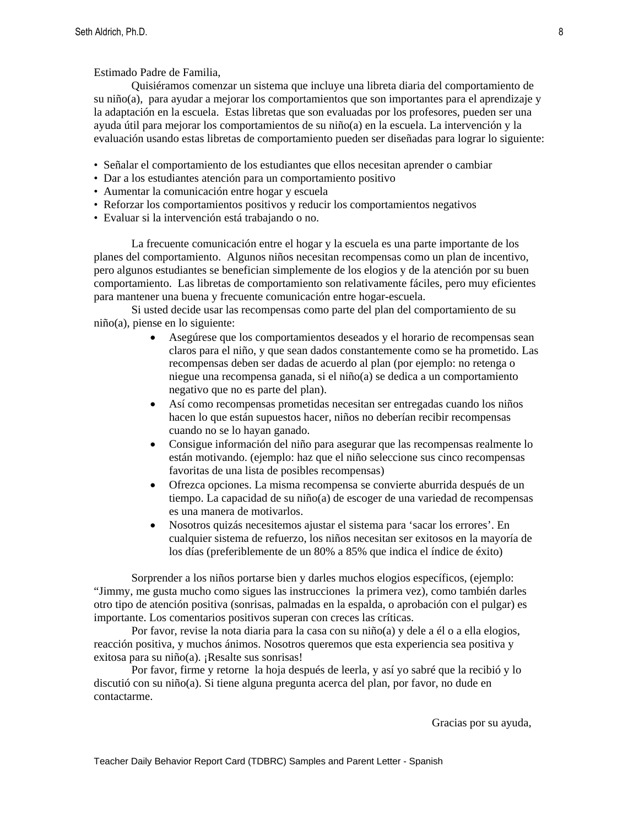Estimado Padre de Familia,

 Quisiéramos comenzar un sistema que incluye una libreta diaria del comportamiento de su niño(a), para ayudar a mejorar los comportamientos que son importantes para el aprendizaje y la adaptación en la escuela. Estas libretas que son evaluadas por los profesores, pueden ser una ayuda útil para mejorar los comportamientos de su niño(a) en la escuela. La intervención y la evaluación usando estas libretas de comportamiento pueden ser diseñadas para lograr lo siguiente:

- Señalar el comportamiento de los estudiantes que ellos necesitan aprender o cambiar
- Dar a los estudiantes atención para un comportamiento positivo
- Aumentar la comunicación entre hogar y escuela
- Reforzar los comportamientos positivos y reducir los comportamientos negativos
- Evaluar si la intervención está trabajando o no.

La frecuente comunicación entre el hogar y la escuela es una parte importante de los planes del comportamiento. Algunos niños necesitan recompensas como un plan de incentivo, pero algunos estudiantes se benefician simplemente de los elogios y de la atención por su buen comportamiento. Las libretas de comportamiento son relativamente fáciles, pero muy eficientes para mantener una buena y frecuente comunicación entre hogar-escuela.

Si usted decide usar las recompensas como parte del plan del comportamiento de su niño(a), piense en lo siguiente:

- Asegúrese que los comportamientos deseados y el horario de recompensas sean claros para el niño, y que sean dados constantemente como se ha prometido. Las recompensas deben ser dadas de acuerdo al plan (por ejemplo: no retenga o niegue una recompensa ganada, si el niño(a) se dedica a un comportamiento negativo que no es parte del plan).
- Así como recompensas prometidas necesitan ser entregadas cuando los niños hacen lo que están supuestos hacer, niños no deberían recibir recompensas cuando no se lo hayan ganado.
- Consigue información del niño para asegurar que las recompensas realmente lo están motivando. (ejemplo: haz que el niño seleccione sus cinco recompensas favoritas de una lista de posibles recompensas)
- Ofrezca opciones. La misma recompensa se convierte aburrida después de un tiempo. La capacidad de su niño(a) de escoger de una variedad de recompensas es una manera de motivarlos.
- Nosotros quizás necesitemos ajustar el sistema para 'sacar los errores'. En cualquier sistema de refuerzo, los niños necesitan ser exitosos en la mayoría de los días (preferiblemente de un 80% a 85% que indica el índice de éxito)

 Sorprender a los niños portarse bien y darles muchos elogios específicos, (ejemplo: "Jimmy, me gusta mucho como sigues las instrucciones la primera vez), como también darles otro tipo de atención positiva (sonrisas, palmadas en la espalda, o aprobación con el pulgar) es importante. Los comentarios positivos superan con creces las críticas.

 Por favor, revise la nota diaria para la casa con su niño(a) y dele a él o a ella elogios, reacción positiva, y muchos ánimos. Nosotros queremos que esta experiencia sea positiva y exitosa para su niño(a). ¡Resalte sus sonrisas!

 Por favor, firme y retorne la hoja después de leerla, y así yo sabré que la recibió y lo discutió con su niño(a). Si tiene alguna pregunta acerca del plan, por favor, no dude en contactarme.

Gracias por su ayuda,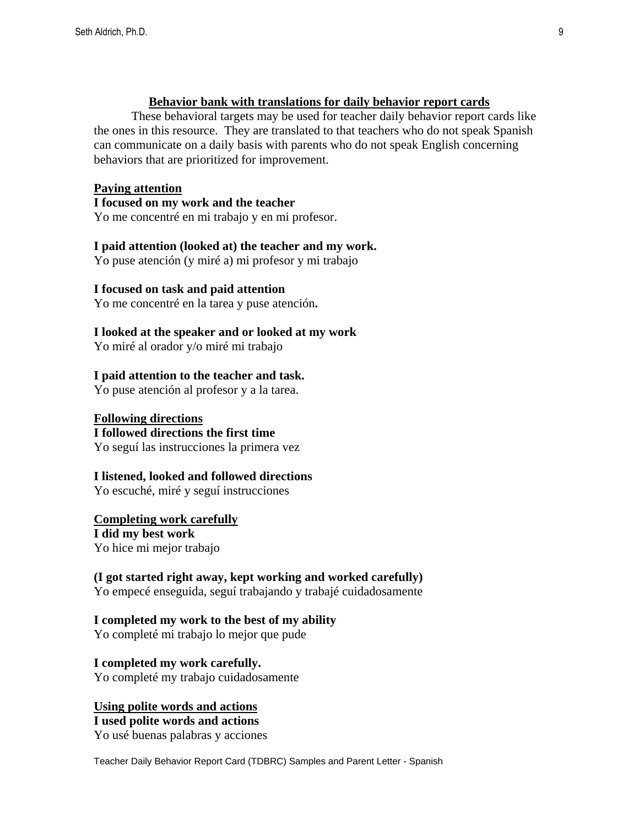#### **Behavior bank with translations for daily behavior report cards**

 These behavioral targets may be used for teacher daily behavior report cards like the ones in this resource. They are translated to that teachers who do not speak Spanish can communicate on a daily basis with parents who do not speak English concerning behaviors that are prioritized for improvement.

#### **Paying attention**

**I focused on my work and the teacher** 

Yo me concentré en mi trabajo y en mi profesor.

#### **I paid attention (looked at) the teacher and my work.**

Yo puse atención (y miré a) mi profesor y mi trabajo

#### **I focused on task and paid attention**

Yo me concentré en la tarea y puse atención**.** 

### **I looked at the speaker and or looked at my work**

Yo miré al orador y/o miré mi trabajo

#### **I paid attention to the teacher and task.**

Yo puse atención al profesor y a la tarea.

### **Following directions**

**I followed directions the first time**  Yo seguí las instrucciones la primera vez

#### **I listened, looked and followed directions**

Yo escuché, miré y seguí instrucciones

## **Completing work carefully**

**I did my best work**  Yo hice mi mejor trabajo

#### **(I got started right away, kept working and worked carefully)**

Yo empecé enseguida, seguí trabajando y trabajé cuidadosamente

#### **I completed my work to the best of my ability**

Yo completé mi trabajo lo mejor que pude

**I completed my work carefully.**  Yo completé my trabajo cuidadosamente

#### **Using polite words and actions**

**I used polite words and actions** 

Yo usé buenas palabras y acciones

Teacher Daily Behavior Report Card (TDBRC) Samples and Parent Letter - Spanish